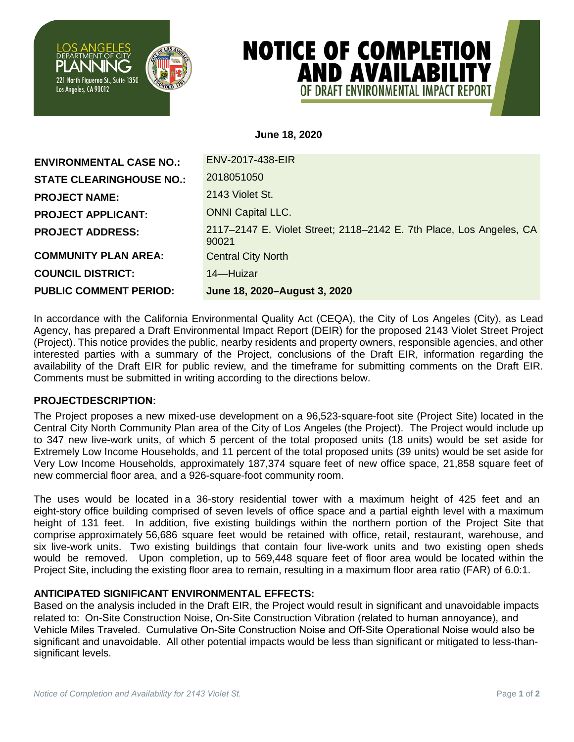

# **NOTICE OF COMPLETION AND AVAILABILITY** OF DRAFT FNVIRONMENTAL IMPACT R

## **June 18, 2020**

| <b>ENVIRONMENTAL CASE NO.:</b>  | ENV-2017-438-EIR                                                             |
|---------------------------------|------------------------------------------------------------------------------|
| <b>STATE CLEARINGHOUSE NO.:</b> | 2018051050                                                                   |
| <b>PROJECT NAME:</b>            | 2143 Violet St.                                                              |
| <b>PROJECT APPLICANT:</b>       | <b>ONNI Capital LLC.</b>                                                     |
| <b>PROJECT ADDRESS:</b>         | 2117-2147 E. Violet Street; 2118-2142 E. 7th Place, Los Angeles, CA<br>90021 |
| <b>COMMUNITY PLAN AREA:</b>     | <b>Central City North</b>                                                    |
| <b>COUNCIL DISTRICT:</b>        | 14-Huizar                                                                    |
| <b>PUBLIC COMMENT PERIOD:</b>   | June 18, 2020-August 3, 2020                                                 |

In accordance with the California Environmental Quality Act (CEQA), the City of Los Angeles (City), as Lead Agency, has prepared a Draft Environmental Impact Report (DEIR) for the proposed 2143 Violet Street Project (Project). This notice provides the public, nearby residents and property owners, responsible agencies, and other interested parties with a summary of the Project, conclusions of the Draft EIR, information regarding the availability of the Draft EIR for public review, and the timeframe for submitting comments on the Draft EIR. Comments must be submitted in writing according to the directions below.

### **PROJECTDESCRIPTION:**

The Project proposes a new mixed-use development on a 96,523-square-foot site (Project Site) located in the Central City North Community Plan area of the City of Los Angeles (the Project). The Project would include up to 347 new live-work units, of which 5 percent of the total proposed units (18 units) would be set aside for Extremely Low Income Households, and 11 percent of the total proposed units (39 units) would be set aside for Very Low Income Households, approximately 187,374 square feet of new office space, 21,858 square feet of new commercial floor area, and a 926-square-foot community room.

The uses would be located in a 36-story residential tower with a maximum height of 425 feet and an eight-story office building comprised of seven levels of office space and a partial eighth level with a maximum height of 131 feet. In addition, five existing buildings within the northern portion of the Project Site that comprise approximately 56,686 square feet would be retained with office, retail, restaurant, warehouse, and six live-work units. Two existing buildings that contain four live-work units and two existing open sheds would be removed. Upon completion, up to 569,448 square feet of floor area would be located within the Project Site, including the existing floor area to remain, resulting in a maximum floor area ratio (FAR) of 6.0:1.

# **ANTICIPATED SIGNIFICANT ENVIRONMENTAL EFFECTS:**

Based on the analysis included in the Draft EIR, the Project would result in significant and unavoidable impacts related to: On-Site Construction Noise, On-Site Construction Vibration (related to human annoyance), and Vehicle Miles Traveled. Cumulative On-Site Construction Noise and Off-Site Operational Noise would also be significant and unavoidable. All other potential impacts would be less than significant or mitigated to less-thansignificant levels.